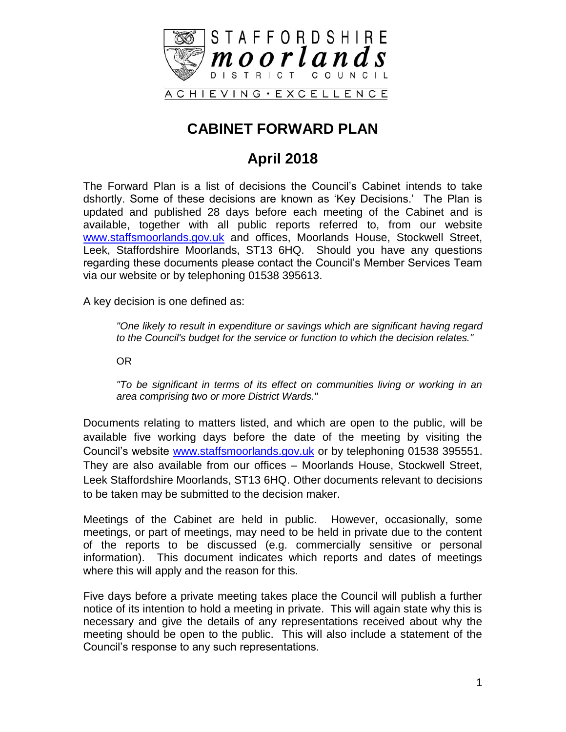

### **CABINET FORWARD PLAN**

### **April 2018**

The Forward Plan is a list of decisions the Council's Cabinet intends to take dshortly. Some of these decisions are known as 'Key Decisions.' The Plan is updated and published 28 days before each meeting of the Cabinet and is available, together with all public reports referred to, from our website [www.staffsmoorlands.gov.uk](http://www.staffsmoorlands.gov.uk/) and offices, Moorlands House, Stockwell Street, Leek, Staffordshire Moorlands, ST13 6HQ. Should you have any questions regarding these documents please contact the Council's Member Services Team via our website or by telephoning 01538 395613.

A key decision is one defined as:

*"One likely to result in expenditure or savings which are significant having regard to the Council's budget for the service or function to which the decision relates."*

OR

*"To be significant in terms of its effect on communities living or working in an area comprising two or more District Wards."*

Documents relating to matters listed, and which are open to the public, will be available five working days before the date of the meeting by visiting the Council's website [www.staffsmoorlands.gov.uk](http://www.staffsmoorlands.gov.uk/) or by telephoning 01538 395551. They are also available from our offices – Moorlands House, Stockwell Street, Leek Staffordshire Moorlands, ST13 6HQ. Other documents relevant to decisions to be taken may be submitted to the decision maker.

Meetings of the Cabinet are held in public. However, occasionally, some meetings, or part of meetings, may need to be held in private due to the content of the reports to be discussed (e.g. commercially sensitive or personal information). This document indicates which reports and dates of meetings where this will apply and the reason for this.

Five days before a private meeting takes place the Council will publish a further notice of its intention to hold a meeting in private. This will again state why this is necessary and give the details of any representations received about why the meeting should be open to the public. This will also include a statement of the Council's response to any such representations.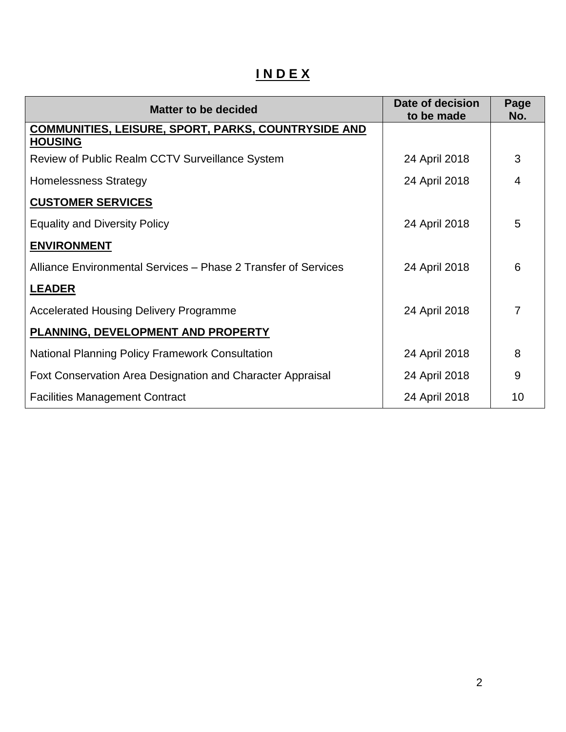# **I N D E X**

| <b>Matter to be decided</b>                                    | Date of decision<br>to be made | Page<br>No.    |
|----------------------------------------------------------------|--------------------------------|----------------|
| <b>COMMUNITIES, LEISURE, SPORT, PARKS, COUNTRYSIDE AND</b>     |                                |                |
| <b>HOUSING</b>                                                 |                                |                |
| Review of Public Realm CCTV Surveillance System                | 24 April 2018                  | 3              |
| <b>Homelessness Strategy</b>                                   | 24 April 2018                  | 4              |
| <b>CUSTOMER SERVICES</b>                                       |                                |                |
| <b>Equality and Diversity Policy</b>                           | 24 April 2018                  | 5              |
| <b>ENVIRONMENT</b>                                             |                                |                |
| Alliance Environmental Services – Phase 2 Transfer of Services | 24 April 2018                  | 6              |
| <b>LEADER</b>                                                  |                                |                |
| <b>Accelerated Housing Delivery Programme</b>                  | 24 April 2018                  | $\overline{7}$ |
| PLANNING, DEVELOPMENT AND PROPERTY                             |                                |                |
| <b>National Planning Policy Framework Consultation</b>         | 24 April 2018                  | 8              |
| Foxt Conservation Area Designation and Character Appraisal     | 24 April 2018                  | 9              |
| <b>Facilities Management Contract</b>                          | 24 April 2018                  | 10             |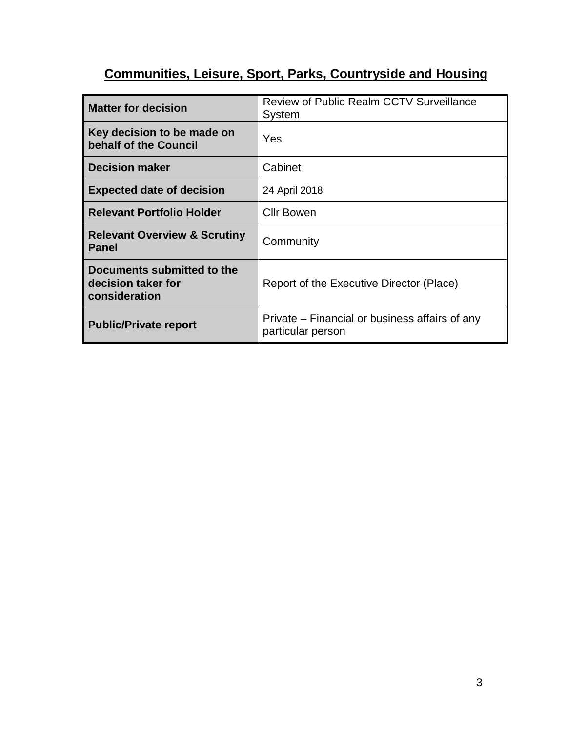## **Communities, Leisure, Sport, Parks, Countryside and Housing**

| <b>Matter for decision</b>                                        | <b>Review of Public Realm CCTV Surveillance</b><br>System           |
|-------------------------------------------------------------------|---------------------------------------------------------------------|
| Key decision to be made on<br>behalf of the Council               | Yes                                                                 |
| <b>Decision maker</b>                                             | Cabinet                                                             |
| <b>Expected date of decision</b>                                  | 24 April 2018                                                       |
| <b>Relevant Portfolio Holder</b>                                  | Cllr Bowen                                                          |
| <b>Relevant Overview &amp; Scrutiny</b><br><b>Panel</b>           | Community                                                           |
| Documents submitted to the<br>decision taker for<br>consideration | Report of the Executive Director (Place)                            |
| <b>Public/Private report</b>                                      | Private – Financial or business affairs of any<br>particular person |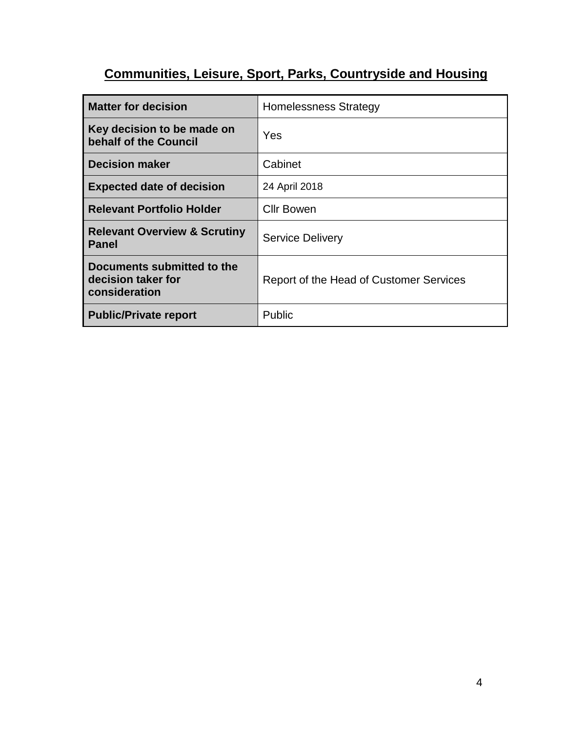# **Communities, Leisure, Sport, Parks, Countryside and Housing**

| <b>Matter for decision</b>                                        | <b>Homelessness Strategy</b>            |
|-------------------------------------------------------------------|-----------------------------------------|
| Key decision to be made on<br>behalf of the Council               | Yes                                     |
| <b>Decision maker</b>                                             | Cabinet                                 |
| <b>Expected date of decision</b>                                  | 24 April 2018                           |
| <b>Relevant Portfolio Holder</b>                                  | <b>Cllr Bowen</b>                       |
| <b>Relevant Overview &amp; Scrutiny</b><br><b>Panel</b>           | <b>Service Delivery</b>                 |
| Documents submitted to the<br>decision taker for<br>consideration | Report of the Head of Customer Services |
| <b>Public/Private report</b>                                      | Public                                  |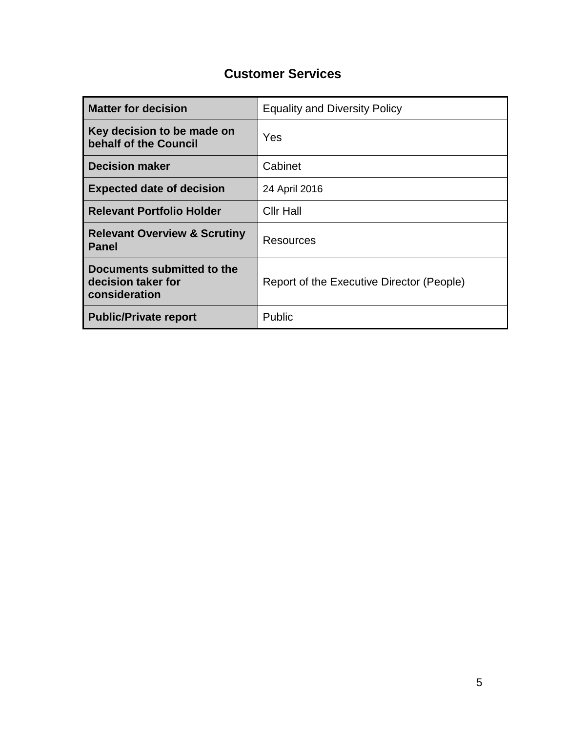### **Customer Services**

| <b>Matter for decision</b>                                        | <b>Equality and Diversity Policy</b>      |
|-------------------------------------------------------------------|-------------------------------------------|
| Key decision to be made on<br>behalf of the Council               | Yes                                       |
| <b>Decision maker</b>                                             | Cabinet                                   |
| <b>Expected date of decision</b>                                  | 24 April 2016                             |
| <b>Relevant Portfolio Holder</b>                                  | <b>Cllr Hall</b>                          |
| <b>Relevant Overview &amp; Scrutiny</b><br><b>Panel</b>           | Resources                                 |
| Documents submitted to the<br>decision taker for<br>consideration | Report of the Executive Director (People) |
| <b>Public/Private report</b>                                      | Public                                    |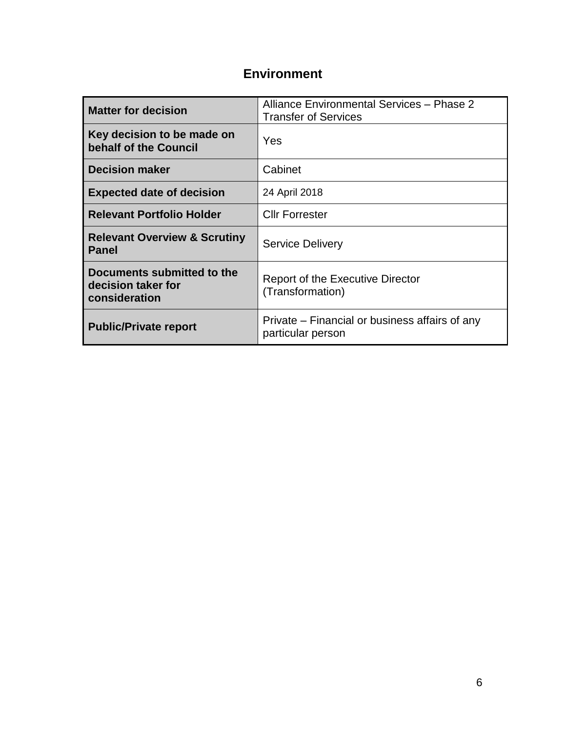#### **Environment**

| <b>Matter for decision</b>                                        | Alliance Environmental Services - Phase 2<br><b>Transfer of Services</b> |
|-------------------------------------------------------------------|--------------------------------------------------------------------------|
| Key decision to be made on<br>behalf of the Council               | Yes                                                                      |
| <b>Decision maker</b>                                             | Cabinet                                                                  |
| <b>Expected date of decision</b>                                  | 24 April 2018                                                            |
| <b>Relevant Portfolio Holder</b>                                  | <b>Cllr Forrester</b>                                                    |
| <b>Relevant Overview &amp; Scrutiny</b><br><b>Panel</b>           | <b>Service Delivery</b>                                                  |
| Documents submitted to the<br>decision taker for<br>consideration | <b>Report of the Executive Director</b><br>(Transformation)              |
| <b>Public/Private report</b>                                      | Private – Financial or business affairs of any<br>particular person      |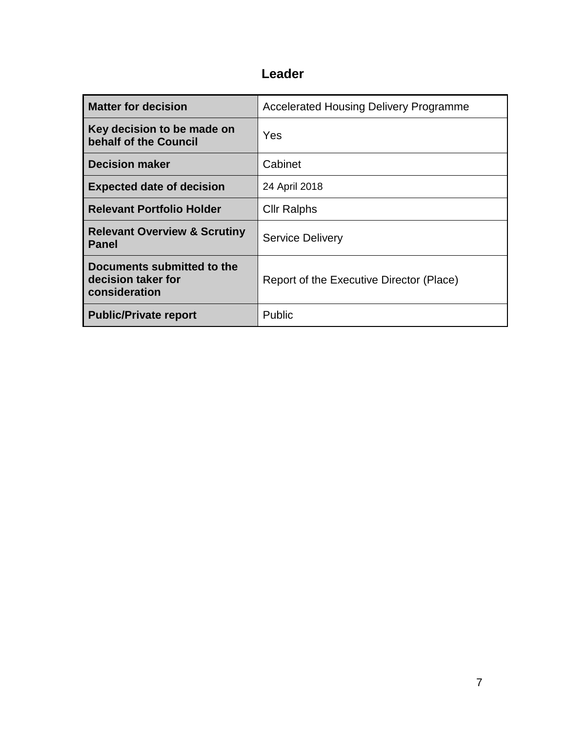### **Leader**

| <b>Matter for decision</b>                                        | <b>Accelerated Housing Delivery Programme</b> |
|-------------------------------------------------------------------|-----------------------------------------------|
| Key decision to be made on<br>behalf of the Council               | Yes                                           |
| <b>Decision maker</b>                                             | Cabinet                                       |
| <b>Expected date of decision</b>                                  | 24 April 2018                                 |
| <b>Relevant Portfolio Holder</b>                                  | <b>Cllr Ralphs</b>                            |
| <b>Relevant Overview &amp; Scrutiny</b><br><b>Panel</b>           | <b>Service Delivery</b>                       |
| Documents submitted to the<br>decision taker for<br>consideration | Report of the Executive Director (Place)      |
| <b>Public/Private report</b>                                      | Public                                        |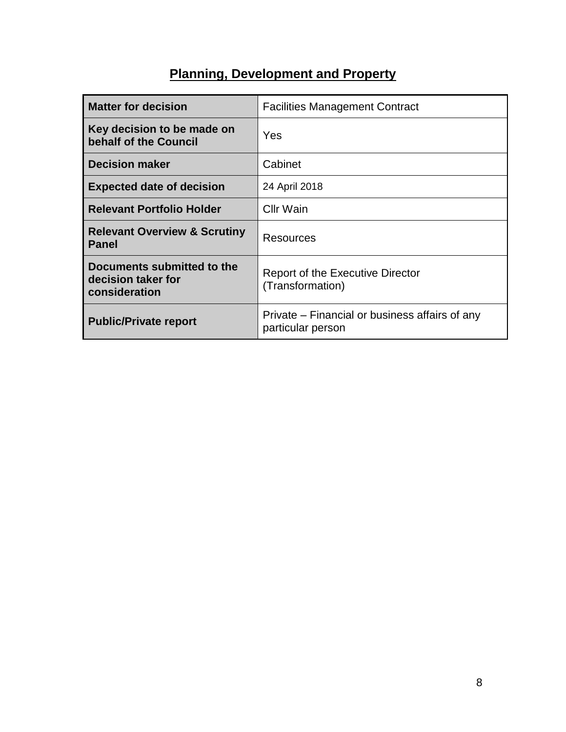### **Planning, Development and Property**

| <b>Matter for decision</b>                                        | <b>Facilities Management Contract</b>                               |
|-------------------------------------------------------------------|---------------------------------------------------------------------|
| Key decision to be made on<br>behalf of the Council               | Yes                                                                 |
| <b>Decision maker</b>                                             | Cabinet                                                             |
| <b>Expected date of decision</b>                                  | 24 April 2018                                                       |
| <b>Relevant Portfolio Holder</b>                                  | <b>Cllr Wain</b>                                                    |
| <b>Relevant Overview &amp; Scrutiny</b><br><b>Panel</b>           | Resources                                                           |
| Documents submitted to the<br>decision taker for<br>consideration | <b>Report of the Executive Director</b><br>(Transformation)         |
| <b>Public/Private report</b>                                      | Private – Financial or business affairs of any<br>particular person |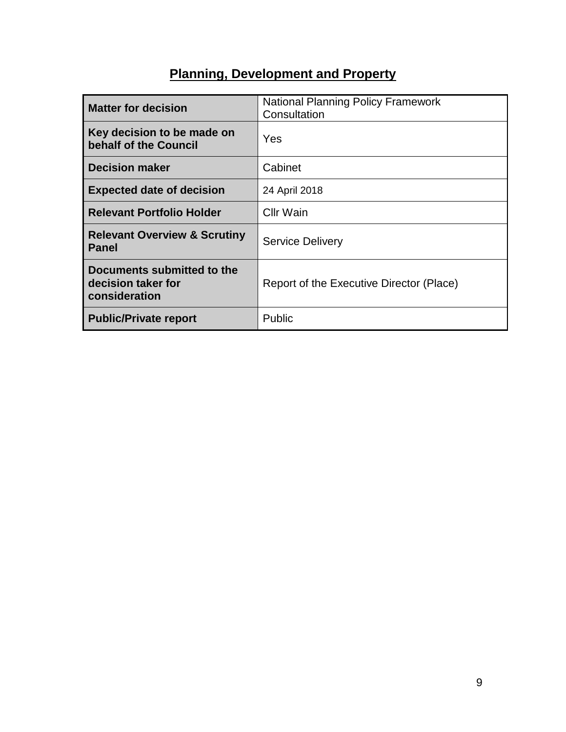### **Planning, Development and Property**

| <b>Matter for decision</b>                                        | <b>National Planning Policy Framework</b><br>Consultation |
|-------------------------------------------------------------------|-----------------------------------------------------------|
| Key decision to be made on<br>behalf of the Council               | Yes                                                       |
| <b>Decision maker</b>                                             | Cabinet                                                   |
| <b>Expected date of decision</b>                                  | 24 April 2018                                             |
| <b>Relevant Portfolio Holder</b>                                  | Cllr Wain                                                 |
| <b>Relevant Overview &amp; Scrutiny</b><br>Panel                  | <b>Service Delivery</b>                                   |
| Documents submitted to the<br>decision taker for<br>consideration | Report of the Executive Director (Place)                  |
| <b>Public/Private report</b>                                      | Public                                                    |